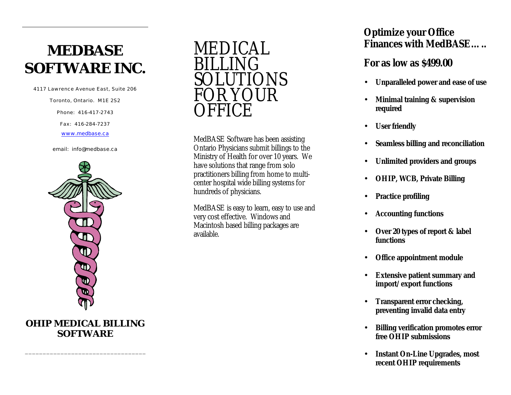# **MEDBASE SOFTWARE INC.**

4117 Lawrence Avenue East, Suite 206

Toronto, Ontario. M1E 2S2

Phone: 416-417-2743

Fax: 416 -284 -7237

www.medbase.ca

email: info@medbase.ca



**OHIP MEDICAL BILLING SOFTWARE**

\_\_\_\_\_\_\_\_\_\_\_\_\_\_\_\_\_\_\_\_\_\_\_\_\_\_\_\_\_\_\_\_\_\_



MedBASE Software has been assisting Ontario Physicians submit billings to the Ministry of Health for over 10 years. We have solutions that range from solo practitioners billing from home to multicenter hospital wide billing systems for hundreds of physicians.

MedBASE is easy to learn, easy to use and very cost effective. Windows and Macintosh based billing packages are available.

### **Optimize your Office Finances with MedBASE…..**

#### *For as low as \$499.00*

- **Unparalleled power and ease of use**
- **Minimal training & supervision required**
- **User friendly**
- **Seamless billing and reconciliation**
- **Unlimited providers and groups**
- **OHIP, WCB, Private Billing**
- **Practice profiling**
- **Accounting functions**
- **Over 20 types of report & label functions**
- **Office appointment module**
- **Extensive patient summary and import/export functions**
- **Transparent error checking, preventing invalid data entry**
- **Billing verification promotes error free OHIP submissions**
- **Instant On-Line Upgrades, most recent OHIP requirements**